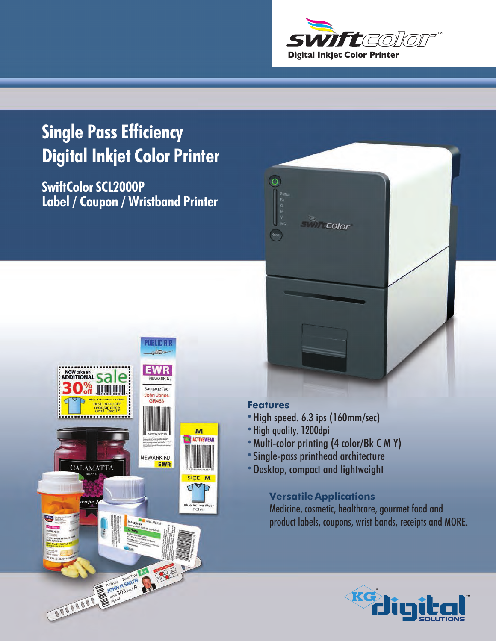

## **Single Pass Efficiency Digital Inkjet Color Printer**

**SwiftColor SCL2000P Label / Coupon / Wristband Printer**



## **Features**

 $\circ$ 

- **•**High speed. 6.3 ips (160mm/sec)
- **•** High quality. 1200dpi
- **•**Multi-color printing (4 color/Bk C M Y)

**SWIFF Color** 

- **•**Single-pass printhead architecture
- **•**Desktop, compact and lightweight

## **Versatile Applications**

Medicine, cosmetic, healthcare, gourmet food and product labels, coupons, wrist bands, receipts and MORE.